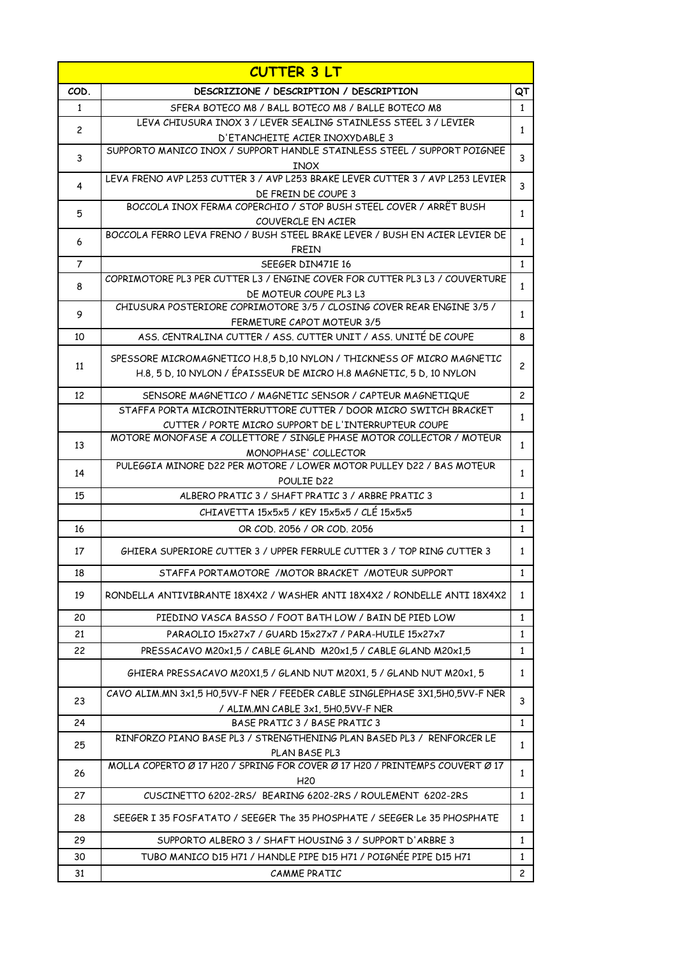|                | <b>CUTTER 3 LT</b>                                                                           |                |
|----------------|----------------------------------------------------------------------------------------------|----------------|
| COD.           | DESCRIZIONE / DESCRIPTION / DESCRIPTION                                                      | QT             |
| 1              | SFERA BOTECO M8 / BALL BOTECO M8 / BALLE BOTECO M8                                           | $\mathbf{1}$   |
| $\overline{c}$ | LEVA CHIUSURA INOX 3 / LEVER SEALING STAINLESS STEEL 3 / LEVIER                              | $\mathbf{1}$   |
|                | D'ETANCHEITE ACIER INOXYDABLE 3                                                              |                |
| 3              | SUPPORTO MANICO INOX / SUPPORT HANDLE STAINLESS STEEL / SUPPORT POIGNEE                      | 3              |
|                | <b>INOX</b>                                                                                  |                |
| 4              | LEVA FRENO AVP L253 CUTTER 3 / AVP L253 BRAKE LEVER CUTTER 3 / AVP L253 LEVIER               | 3              |
|                | DE FREIN DE COUPE 3<br>BOCCOLA INOX FERMA COPERCHIO / STOP BUSH STEEL COVER / ARRÊT BUSH     |                |
| 5              | COUVERCLE EN ACIER                                                                           | $\mathbf{1}$   |
|                | BOCCOLA FERRO LEVA FRENO / BUSH STEEL BRAKE LEVER / BUSH EN ACIER LEVIER DE                  |                |
| 6              | <b>FREIN</b>                                                                                 | $\mathbf{1}$   |
| 7              | SEEGER DIN471E 16                                                                            | $\mathbf{1}$   |
|                | COPRIMOTORE PL3 PER CUTTER L3 / ENGINE COVER FOR CUTTER PL3 L3 / COUVERTURE                  |                |
| 8              | DE MOTEUR COUPE PL3 L3                                                                       | $\mathbf{1}$   |
|                | CHIUSURA POSTERIORE COPRIMOTORE 3/5 / CLOSING COVER REAR ENGINE 3/5 /                        |                |
| 9              | FERMETURE CAPOT MOTEUR 3/5                                                                   | $\mathbf{1}$   |
| 10             | ASS. CENTRALINA CUTTER / ASS. CUTTER UNIT / ASS. UNITÉ DE COUPE                              | 8              |
|                | SPESSORE MICROMAGNETICO H.8,5 D,10 NYLON / THICKNESS OF MICRO MAGNETIC                       |                |
| 11             | H.8, 5 D, 10 NYLON / ÉPAISSEUR DE MICRO H.8 MAGNETIC, 5 D, 10 NYLON                          | $\overline{c}$ |
|                |                                                                                              |                |
| 12             | SENSORE MAGNETICO / MAGNETIC SENSOR / CAPTEUR MAGNETIQUE                                     | $\overline{c}$ |
|                | STAFFA PORTA MICROINTERRUTTORE CUTTER / DOOR MICRO SWITCH BRACKET                            | $\mathbf{1}$   |
|                | CUTTER / PORTE MICRO SUPPORT DE L'INTERRUPTEUR COUPE                                         |                |
| 13             | MOTORE MONOFASE A COLLETTORE / SINGLE PHASE MOTOR COLLECTOR / MOTEUR                         | $\mathbf{1}$   |
|                | MONOPHASE' COLLECTOR<br>PULEGGIA MINORE D22 PER MOTORE / LOWER MOTOR PULLEY D22 / BAS MOTEUR |                |
| 14             | POULIE D22                                                                                   | $\mathbf{1}$   |
| 15             | ALBERO PRATIC 3 / SHAFT PRATIC 3 / ARBRE PRATIC 3                                            | $\mathbf{1}$   |
|                | CHIAVETTA 15x5x5 / KEY 15x5x5 / CLÉ 15x5x5                                                   | $\mathbf{1}$   |
| 16             | OR COD, 2056 / OR COD, 2056                                                                  | $\mathbf{1}$   |
|                |                                                                                              |                |
| 17             | GHIERA SUPERIORE CUTTER 3 / UPPER FERRULE CUTTER 3 / TOP RING CUTTER 3                       | $\mathbf{1}$   |
| 18             | STAFFA PORTAMOTORE / MOTOR BRACKET / MOTEUR SUPPORT                                          | $\mathbf{1}$   |
| 19             | RONDELLA ANTIVIBRANTE 18X4X2 / WASHER ANTI 18X4X2 / RONDELLE ANTI 18X4X2                     | $\mathbf{1}$   |
| 20             | PIEDINO VASCA BASSO / FOOT BATH LOW / BAIN DE PIED LOW                                       | $\mathbf{1}$   |
| 21             | PARAOLIO 15x27x7 / GUARD 15x27x7 / PARA-HUILE 15x27x7                                        | $\mathbf{1}$   |
| 22             | PRESSACAVO M20x1,5 / CABLE GLAND M20x1,5 / CABLE GLAND M20x1,5                               | $\mathbf{1}$   |
|                | GHIERA PRESSACAVO M20X1,5 / GLAND NUT M20X1, 5 / GLAND NUT M20x1, 5                          | $\mathbf{1}$   |
| 23             | CAVO ALIM.MN 3x1.5 H0.5VV-F NER / FEEDER CABLE SINGLEPHASE 3X1.5H0.5VV-F NER                 | 3              |
|                | / ALIM.MN CABLE 3x1, 5H0,5VV-F NER                                                           |                |
| 24             | BASE PRATIC 3 / BASE PRATIC 3                                                                | $\mathbf{1}$   |
| 25             | RINFORZO PIANO BASE PL3 / STRENGTHENING PLAN BASED PL3 / RENFORCER LE                        | $\mathbf{1}$   |
|                | PLAN BASE PL3<br>MOLLA COPERTO Ø 17 H20 / SPRING FOR COVER Ø 17 H20 / PRINTEMPS COUVERT Ø 17 |                |
| 26             | H <sub>20</sub>                                                                              | $\mathbf{1}$   |
| 27             | CUSCINETTO 6202-2RS/ BEARING 6202-2RS / ROULEMENT 6202-2RS                                   | $\mathbf{1}$   |
| 28             | SEEGER I 35 FOSFATATO / SEEGER The 35 PHOSPHATE / SEEGER Le 35 PHOSPHATE                     | $\mathbf{1}$   |
| 29             | SUPPORTO ALBERO 3 / SHAFT HOUSING 3 / SUPPORT D'ARBRE 3                                      | $\mathbf{1}$   |
| 30             | TUBO MANICO D15 H71 / HANDLE PIPE D15 H71 / POIGNÉE PIPE D15 H71                             | $\mathbf{1}$   |
| 31             | CAMME PRATIC                                                                                 | $\mathbf{2}$   |
|                |                                                                                              |                |